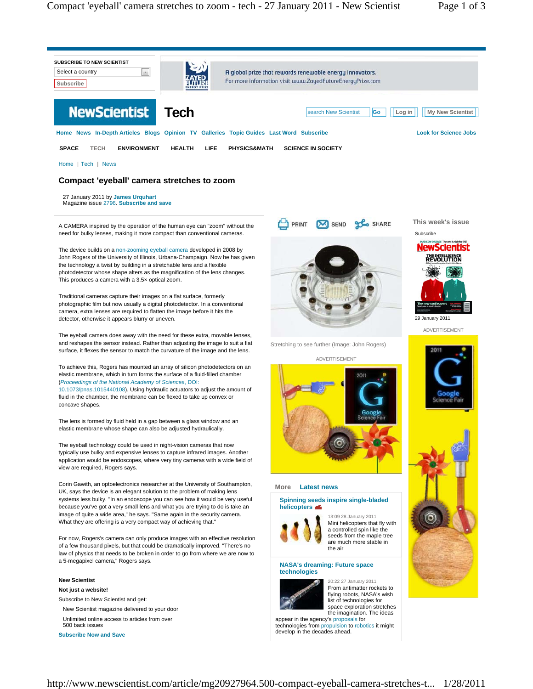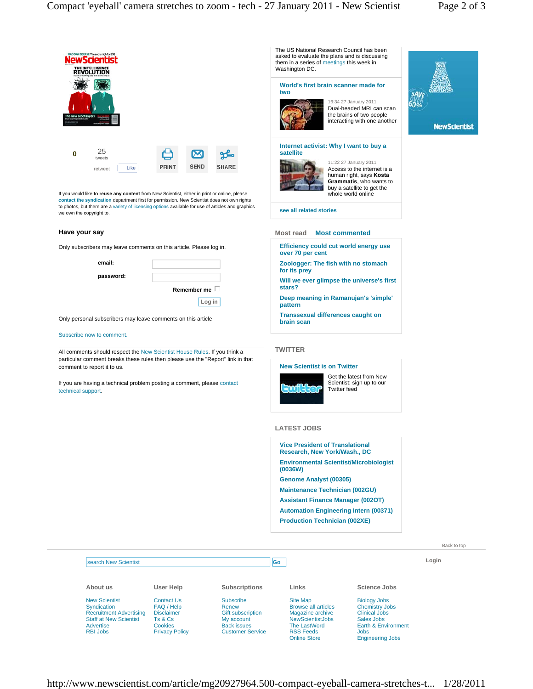

New Scientist **Syndication** Recruitment Advertising Staff at New Scientist Advertise RBI Jobs

Contact Us FAQ / Help **Disclaimer** Ts & Cs **Cookies** Privacy Policy

## Subscribe

Renew **Gift subscription** My account Back issues Customer Service

Site Map Browse all articles Magazine archive **NewScientistJobs** The LastWord RSS Feeds Online Store

Biology Jobs Chemistry Jobs Clinical Jobs Sales Jobs Earth & Environment Jobs Engineering Jobs